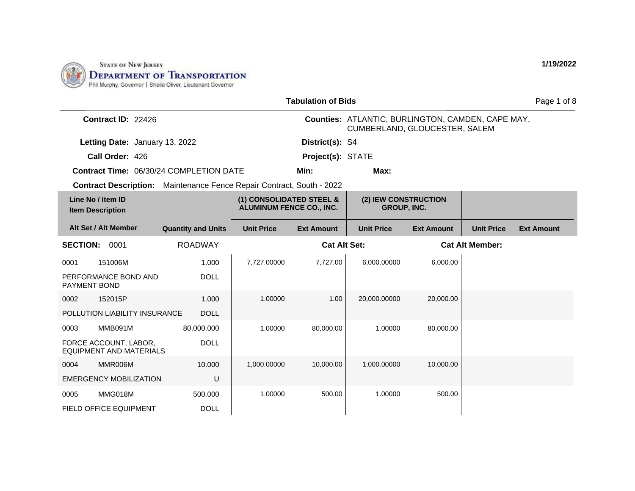

| <b>Tabulation of Bids</b>                                                    |                           |                                                             |                     |                                                                                    |                   | Page 1 of 8            |                   |
|------------------------------------------------------------------------------|---------------------------|-------------------------------------------------------------|---------------------|------------------------------------------------------------------------------------|-------------------|------------------------|-------------------|
| Contract ID: 22426                                                           |                           |                                                             |                     | Counties: ATLANTIC, BURLINGTON, CAMDEN, CAPE MAY,<br>CUMBERLAND, GLOUCESTER, SALEM |                   |                        |                   |
| Letting Date: January 13, 2022                                               |                           |                                                             | District(s): S4     |                                                                                    |                   |                        |                   |
| Call Order: 426                                                              |                           |                                                             | Project(s): STATE   |                                                                                    |                   |                        |                   |
| <b>Contract Time: 06/30/24 COMPLETION DATE</b>                               |                           |                                                             | Min:                | Max:                                                                               |                   |                        |                   |
| <b>Contract Description:</b> Maintenance Fence Repair Contract, South - 2022 |                           |                                                             |                     |                                                                                    |                   |                        |                   |
| Line No / Item ID<br><b>Item Description</b>                                 |                           | (1) CONSOLIDATED STEEL &<br><b>ALUMINUM FENCE CO., INC.</b> |                     | (2) IEW CONSTRUCTION<br><b>GROUP, INC.</b>                                         |                   |                        |                   |
| Alt Set / Alt Member                                                         | <b>Quantity and Units</b> | <b>Unit Price</b>                                           | <b>Ext Amount</b>   | <b>Unit Price</b>                                                                  | <b>Ext Amount</b> | <b>Unit Price</b>      | <b>Ext Amount</b> |
| <b>SECTION: 0001</b>                                                         | <b>ROADWAY</b>            |                                                             | <b>Cat Alt Set:</b> |                                                                                    |                   | <b>Cat Alt Member:</b> |                   |
| 151006M<br>0001                                                              | 1.000                     | 7,727.00000                                                 | 7,727.00            | 6,000.00000                                                                        | 6,000.00          |                        |                   |
| PERFORMANCE BOND AND<br>PAYMENT BOND                                         | <b>DOLL</b>               |                                                             |                     |                                                                                    |                   |                        |                   |
| 152015P<br>0002                                                              | 1.000                     | 1.00000                                                     | 1.00                | 20,000.00000                                                                       | 20,000.00         |                        |                   |
| POLLUTION LIABILITY INSURANCE                                                | <b>DOLL</b>               |                                                             |                     |                                                                                    |                   |                        |                   |
| MMB091M<br>0003                                                              | 80,000.000                | 1.00000                                                     | 80,000.00           | 1.00000                                                                            | 80,000.00         |                        |                   |
| FORCE ACCOUNT, LABOR,<br><b>EQUIPMENT AND MATERIALS</b>                      | <b>DOLL</b>               |                                                             |                     |                                                                                    |                   |                        |                   |
| MMR006M<br>0004                                                              | 10.000                    | 1,000.00000                                                 | 10,000.00           | 1,000.00000                                                                        | 10,000.00         |                        |                   |
| <b>EMERGENCY MOBILIZATION</b>                                                | U                         |                                                             |                     |                                                                                    |                   |                        |                   |
| MMG018M<br>0005                                                              | 500.000                   | 1.00000                                                     | 500.00              | 1.00000                                                                            | 500.00            |                        |                   |
| FIELD OFFICE EQUIPMENT                                                       | <b>DOLL</b>               |                                                             |                     |                                                                                    |                   |                        |                   |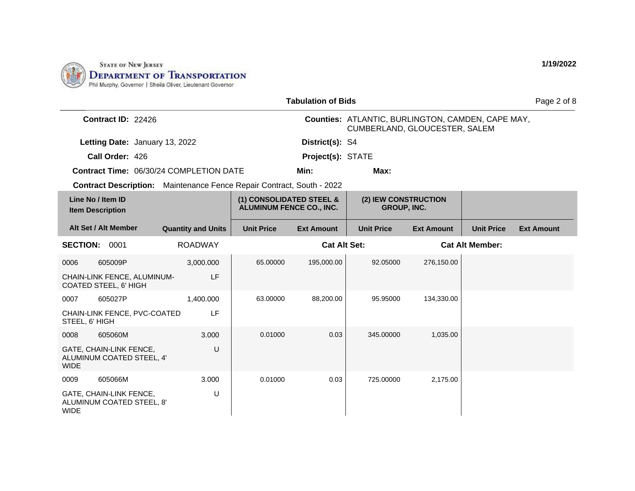

|                                                                       |                           |                                                             | <b>Tabulation of Bids</b> |                                                                                           |                   |                        | Page 2 of 8       |
|-----------------------------------------------------------------------|---------------------------|-------------------------------------------------------------|---------------------------|-------------------------------------------------------------------------------------------|-------------------|------------------------|-------------------|
| Contract ID: 22426                                                    |                           |                                                             |                           | Counties: ATLANTIC, BURLINGTON, CAMDEN, CAPE MAY,<br><b>CUMBERLAND, GLOUCESTER, SALEM</b> |                   |                        |                   |
| Letting Date: January 13, 2022                                        |                           |                                                             | District(s): S4           |                                                                                           |                   |                        |                   |
| Call Order: 426                                                       |                           |                                                             | Project(s): STATE         |                                                                                           |                   |                        |                   |
| <b>Contract Time: 06/30/24 COMPLETION DATE</b>                        |                           |                                                             | Min:                      | Max:                                                                                      |                   |                        |                   |
| Contract Description: Maintenance Fence Repair Contract, South - 2022 |                           |                                                             |                           |                                                                                           |                   |                        |                   |
| Line No / Item ID<br><b>Item Description</b>                          |                           | (1) CONSOLIDATED STEEL &<br><b>ALUMINUM FENCE CO., INC.</b> |                           | (2) IEW CONSTRUCTION<br><b>GROUP, INC.</b>                                                |                   |                        |                   |
| Alt Set / Alt Member                                                  | <b>Quantity and Units</b> | <b>Unit Price</b>                                           | <b>Ext Amount</b>         | <b>Unit Price</b>                                                                         | <b>Ext Amount</b> | <b>Unit Price</b>      | <b>Ext Amount</b> |
| <b>SECTION: 0001</b>                                                  | <b>ROADWAY</b>            |                                                             | <b>Cat Alt Set:</b>       |                                                                                           |                   | <b>Cat Alt Member:</b> |                   |
| 605009P<br>0006                                                       | 3,000.000                 | 65.00000                                                    | 195,000.00                | 92.05000                                                                                  | 276,150.00        |                        |                   |
| CHAIN-LINK FENCE, ALUMINUM-<br>COATED STEEL, 6' HIGH                  | LF                        |                                                             |                           |                                                                                           |                   |                        |                   |
| 0007<br>605027P                                                       | 1,400.000                 | 63.00000                                                    | 88,200.00                 | 95.95000                                                                                  | 134,330.00        |                        |                   |
| CHAIN-LINK FENCE, PVC-COATED<br>STEEL, 6' HIGH                        | LF                        |                                                             |                           |                                                                                           |                   |                        |                   |
| 0008<br>605060M                                                       | 3.000                     | 0.01000                                                     | 0.03                      | 345.00000                                                                                 | 1,035.00          |                        |                   |
| GATE, CHAIN-LINK FENCE,<br>ALUMINUM COATED STEEL, 4'<br><b>WIDE</b>   | U                         |                                                             |                           |                                                                                           |                   |                        |                   |
| 0009<br>605066M                                                       | 3.000                     | 0.01000                                                     | 0.03                      | 725.00000                                                                                 | 2,175.00          |                        |                   |
| GATE, CHAIN-LINK FENCE,<br>ALUMINUM COATED STEEL, 8'<br><b>WIDE</b>   | U                         |                                                             |                           |                                                                                           |                   |                        |                   |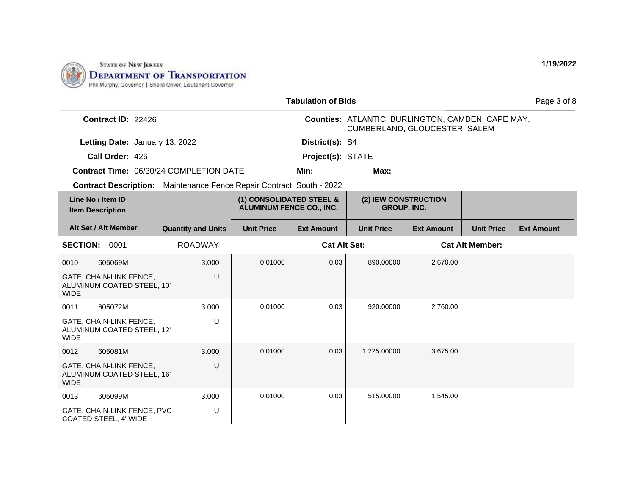

|                                                                       |                           |                                                             | <b>Tabulation of Bids</b> |                                                                                    |                   |                        | Page 3 of 8       |
|-----------------------------------------------------------------------|---------------------------|-------------------------------------------------------------|---------------------------|------------------------------------------------------------------------------------|-------------------|------------------------|-------------------|
| Contract ID: 22426                                                    |                           |                                                             |                           | Counties: ATLANTIC, BURLINGTON, CAMDEN, CAPE MAY,<br>CUMBERLAND, GLOUCESTER, SALEM |                   |                        |                   |
| Letting Date: January 13, 2022                                        |                           |                                                             | District(s): S4           |                                                                                    |                   |                        |                   |
| Call Order: 426                                                       |                           |                                                             | Project(s): STATE         |                                                                                    |                   |                        |                   |
| Contract Time: 06/30/24 COMPLETION DATE                               |                           |                                                             | Min:                      | Max:                                                                               |                   |                        |                   |
| Contract Description: Maintenance Fence Repair Contract, South - 2022 |                           |                                                             |                           |                                                                                    |                   |                        |                   |
| Line No / Item ID<br><b>Item Description</b>                          |                           | (1) CONSOLIDATED STEEL &<br><b>ALUMINUM FENCE CO., INC.</b> |                           | (2) IEW CONSTRUCTION<br>GROUP, INC.                                                |                   |                        |                   |
| Alt Set / Alt Member                                                  | <b>Quantity and Units</b> | <b>Unit Price</b>                                           | <b>Ext Amount</b>         | <b>Unit Price</b>                                                                  | <b>Ext Amount</b> | <b>Unit Price</b>      | <b>Ext Amount</b> |
| <b>SECTION:</b><br>0001                                               | <b>ROADWAY</b>            |                                                             | <b>Cat Alt Set:</b>       |                                                                                    |                   | <b>Cat Alt Member:</b> |                   |
| 605069M<br>0010                                                       | 3.000                     | 0.01000                                                     | 0.03                      | 890.00000                                                                          | 2,670.00          |                        |                   |
| GATE, CHAIN-LINK FENCE,<br>ALUMINUM COATED STEEL, 10'<br><b>WIDE</b>  | U                         |                                                             |                           |                                                                                    |                   |                        |                   |
| 0011<br>605072M                                                       | 3.000                     | 0.01000                                                     | 0.03                      | 920.00000                                                                          | 2,760.00          |                        |                   |
| GATE, CHAIN-LINK FENCE,<br>ALUMINUM COATED STEEL, 12'<br><b>WIDE</b>  | U                         |                                                             |                           |                                                                                    |                   |                        |                   |
| 605081M<br>0012                                                       | 3.000                     | 0.01000                                                     | 0.03                      | 1,225.00000                                                                        | 3,675.00          |                        |                   |
| GATE, CHAIN-LINK FENCE,<br>ALUMINUM COATED STEEL, 16'<br><b>WIDE</b>  | U                         |                                                             |                           |                                                                                    |                   |                        |                   |
| 605099M<br>0013                                                       | 3.000                     | 0.01000                                                     | 0.03                      | 515.00000                                                                          | 1,545.00          |                        |                   |
| GATE, CHAIN-LINK FENCE, PVC-<br>COATED STEEL, 4' WIDE                 | U                         |                                                             |                           |                                                                                    |                   |                        |                   |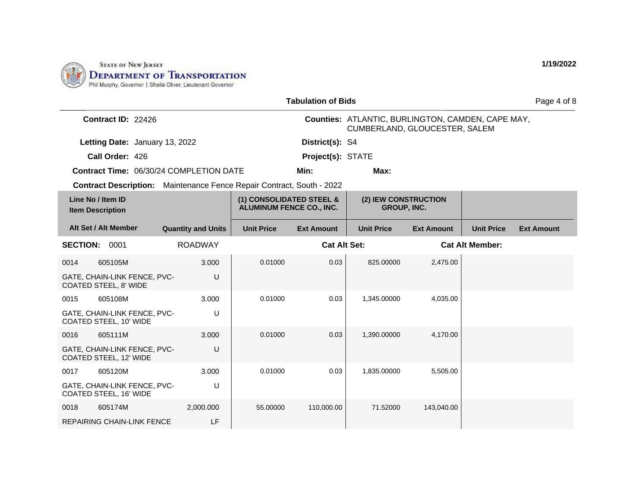

|                                                                              |                           |                                                             | <b>Tabulation of Bids</b> |                                                                                    |                   |                        | Page 4 of 8       |
|------------------------------------------------------------------------------|---------------------------|-------------------------------------------------------------|---------------------------|------------------------------------------------------------------------------------|-------------------|------------------------|-------------------|
| Contract ID: 22426                                                           |                           |                                                             |                           | Counties: ATLANTIC, BURLINGTON, CAMDEN, CAPE MAY,<br>CUMBERLAND, GLOUCESTER, SALEM |                   |                        |                   |
| Letting Date: January 13, 2022                                               |                           |                                                             | District(s): S4           |                                                                                    |                   |                        |                   |
| Call Order: 426                                                              |                           |                                                             | Project(s): STATE         |                                                                                    |                   |                        |                   |
| <b>Contract Time: 06/30/24 COMPLETION DATE</b>                               |                           |                                                             | Min:                      | Max:                                                                               |                   |                        |                   |
| <b>Contract Description:</b> Maintenance Fence Repair Contract, South - 2022 |                           |                                                             |                           |                                                                                    |                   |                        |                   |
| Line No / Item ID<br><b>Item Description</b>                                 |                           | (1) CONSOLIDATED STEEL &<br><b>ALUMINUM FENCE CO., INC.</b> |                           | (2) IEW CONSTRUCTION<br><b>GROUP, INC.</b>                                         |                   |                        |                   |
| Alt Set / Alt Member                                                         | <b>Quantity and Units</b> | <b>Unit Price</b>                                           | <b>Ext Amount</b>         | <b>Unit Price</b>                                                                  | <b>Ext Amount</b> | <b>Unit Price</b>      | <b>Ext Amount</b> |
| <b>SECTION:</b><br>0001                                                      | <b>ROADWAY</b>            |                                                             | <b>Cat Alt Set:</b>       |                                                                                    |                   | <b>Cat Alt Member:</b> |                   |
| 605105M<br>0014                                                              | 3.000                     | 0.01000                                                     | 0.03                      | 825.00000                                                                          | 2,475.00          |                        |                   |
| GATE, CHAIN-LINK FENCE, PVC-<br>COATED STEEL, 8' WIDE                        | U                         |                                                             |                           |                                                                                    |                   |                        |                   |
| 605108M<br>0015                                                              | 3.000                     | 0.01000                                                     | 0.03                      | 1,345.00000                                                                        | 4,035.00          |                        |                   |
| GATE, CHAIN-LINK FENCE, PVC-<br>COATED STEEL, 10' WIDE                       | U                         |                                                             |                           |                                                                                    |                   |                        |                   |
| 605111M<br>0016                                                              | 3.000                     | 0.01000                                                     | 0.03                      | 1,390.00000                                                                        | 4,170.00          |                        |                   |
| GATE, CHAIN-LINK FENCE, PVC-<br>COATED STEEL, 12' WIDE                       | U                         |                                                             |                           |                                                                                    |                   |                        |                   |
| 605120M<br>0017                                                              | 3.000                     | 0.01000                                                     | 0.03                      | 1,835.00000                                                                        | 5,505.00          |                        |                   |
| GATE, CHAIN-LINK FENCE, PVC-<br>COATED STEEL, 16' WIDE                       | U                         |                                                             |                           |                                                                                    |                   |                        |                   |
| 605174M<br>0018                                                              | 2.000.000                 | 55.00000                                                    | 110,000.00                | 71.52000                                                                           | 143,040.00        |                        |                   |
| <b>REPAIRING CHAIN-LINK FENCE</b>                                            | LF                        |                                                             |                           |                                                                                    |                   |                        |                   |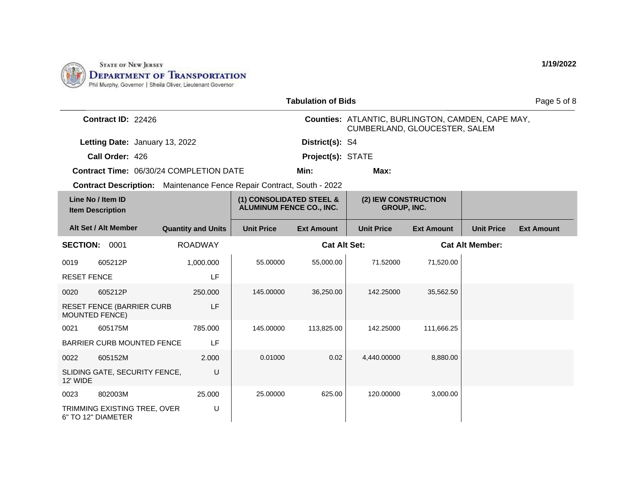

|                    |                                                           |                                                                              |                                                             | <b>Tabulation of Bids</b> |                                                                                    |                   |                   | Page 5 of 8       |
|--------------------|-----------------------------------------------------------|------------------------------------------------------------------------------|-------------------------------------------------------------|---------------------------|------------------------------------------------------------------------------------|-------------------|-------------------|-------------------|
|                    | Contract ID: 22426                                        |                                                                              |                                                             |                           | Counties: ATLANTIC, BURLINGTON, CAMDEN, CAPE MAY,<br>CUMBERLAND, GLOUCESTER, SALEM |                   |                   |                   |
|                    | Letting Date: January 13, 2022                            |                                                                              |                                                             | District(s): S4           |                                                                                    |                   |                   |                   |
|                    | Call Order: 426                                           |                                                                              |                                                             | Project(s): STATE         |                                                                                    |                   |                   |                   |
|                    |                                                           | <b>Contract Time: 06/30/24 COMPLETION DATE</b>                               |                                                             | Min:                      | Max:                                                                               |                   |                   |                   |
|                    |                                                           | <b>Contract Description:</b> Maintenance Fence Repair Contract, South - 2022 |                                                             |                           |                                                                                    |                   |                   |                   |
|                    | Line No / Item ID<br><b>Item Description</b>              |                                                                              | (1) CONSOLIDATED STEEL &<br><b>ALUMINUM FENCE CO., INC.</b> |                           | (2) IEW CONSTRUCTION<br><b>GROUP, INC.</b>                                         |                   |                   |                   |
|                    | Alt Set / Alt Member                                      | <b>Quantity and Units</b>                                                    | <b>Unit Price</b>                                           | <b>Ext Amount</b>         | <b>Unit Price</b>                                                                  | <b>Ext Amount</b> | <b>Unit Price</b> | <b>Ext Amount</b> |
|                    | <b>SECTION: 0001</b>                                      | <b>ROADWAY</b>                                                               |                                                             |                           | <b>Cat Alt Set:</b><br><b>Cat Alt Member:</b>                                      |                   |                   |                   |
| 0019               | 605212P                                                   | 1,000.000                                                                    | 55.00000                                                    | 55,000.00                 | 71.52000                                                                           | 71,520.00         |                   |                   |
| <b>RESET FENCE</b> |                                                           | LF                                                                           |                                                             |                           |                                                                                    |                   |                   |                   |
| 0020               | 605212P                                                   | 250,000                                                                      | 145.00000                                                   | 36,250.00                 | 142.25000                                                                          | 35,562.50         |                   |                   |
|                    | <b>RESET FENCE (BARRIER CURB</b><br><b>MOUNTED FENCE)</b> | LF                                                                           |                                                             |                           |                                                                                    |                   |                   |                   |
| 0021               | 605175M                                                   | 785.000                                                                      | 145.00000                                                   | 113,825.00                | 142.25000                                                                          | 111,666.25        |                   |                   |
|                    | <b>BARRIER CURB MOUNTED FENCE</b>                         | <b>LF</b>                                                                    |                                                             |                           |                                                                                    |                   |                   |                   |
| 0022               | 605152M                                                   | 2.000                                                                        | 0.01000                                                     | 0.02                      | 4,440.00000                                                                        | 8,880.00          |                   |                   |
| 12' WIDE           | SLIDING GATE, SECURITY FENCE,                             | U                                                                            |                                                             |                           |                                                                                    |                   |                   |                   |
| 0023               | 802003M                                                   | 25.000                                                                       | 25.00000                                                    | 625.00                    | 120.00000                                                                          | 3,000.00          |                   |                   |
|                    | TRIMMING EXISTING TREE, OVER<br>6" TO 12" DIAMETER        | U                                                                            |                                                             |                           |                                                                                    |                   |                   |                   |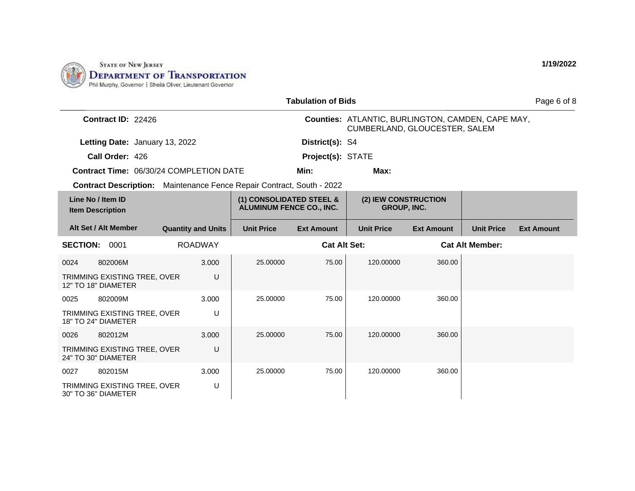

|                                                                              |                           |                                                             | <b>Tabulation of Bids</b> |                                                                                           |                   |                        | Page 6 of 8       |
|------------------------------------------------------------------------------|---------------------------|-------------------------------------------------------------|---------------------------|-------------------------------------------------------------------------------------------|-------------------|------------------------|-------------------|
| Contract ID: 22426                                                           |                           |                                                             |                           | <b>Counties: ATLANTIC, BURLINGTON, CAMDEN, CAPE MAY,</b><br>CUMBERLAND, GLOUCESTER, SALEM |                   |                        |                   |
| Letting Date: January 13, 2022                                               |                           |                                                             | District(s): S4           |                                                                                           |                   |                        |                   |
| Call Order: 426                                                              |                           |                                                             | Project(s): STATE         |                                                                                           |                   |                        |                   |
| Contract Time: 06/30/24 COMPLETION DATE                                      |                           |                                                             | Min:                      | Max:                                                                                      |                   |                        |                   |
| <b>Contract Description:</b> Maintenance Fence Repair Contract, South - 2022 |                           |                                                             |                           |                                                                                           |                   |                        |                   |
| Line No / Item ID<br><b>Item Description</b>                                 |                           | (1) CONSOLIDATED STEEL &<br><b>ALUMINUM FENCE CO., INC.</b> |                           | (2) IEW CONSTRUCTION<br><b>GROUP, INC.</b>                                                |                   |                        |                   |
| Alt Set / Alt Member                                                         | <b>Quantity and Units</b> | <b>Unit Price</b>                                           | <b>Ext Amount</b>         | <b>Unit Price</b>                                                                         | <b>Ext Amount</b> | <b>Unit Price</b>      | <b>Ext Amount</b> |
| <b>SECTION:</b><br>0001                                                      | <b>ROADWAY</b>            |                                                             | <b>Cat Alt Set:</b>       |                                                                                           |                   | <b>Cat Alt Member:</b> |                   |
| 802006M<br>0024                                                              | 3.000                     | 25.00000                                                    | 75.00                     | 120.00000                                                                                 | 360.00            |                        |                   |
| TRIMMING EXISTING TREE, OVER<br>12" TO 18" DIAMETER                          | U                         |                                                             |                           |                                                                                           |                   |                        |                   |
| 0025<br>802009M                                                              | 3.000                     | 25.00000                                                    | 75.00                     | 120.00000                                                                                 | 360.00            |                        |                   |
| TRIMMING EXISTING TREE, OVER<br>18" TO 24" DIAMETER                          | U                         |                                                             |                           |                                                                                           |                   |                        |                   |
| 0026<br>802012M                                                              | 3.000                     | 25.00000                                                    | 75.00                     | 120,00000                                                                                 | 360.00            |                        |                   |
| TRIMMING EXISTING TREE, OVER<br>24" TO 30" DIAMETER                          | U                         |                                                             |                           |                                                                                           |                   |                        |                   |
| 0027<br>802015M                                                              | 3.000                     | 25.00000                                                    | 75.00                     | 120.00000                                                                                 | 360.00            |                        |                   |
| TRIMMING EXISTING TREE, OVER<br>30" TO 36" DIAMETER                          | U                         |                                                             |                           |                                                                                           |                   |                        |                   |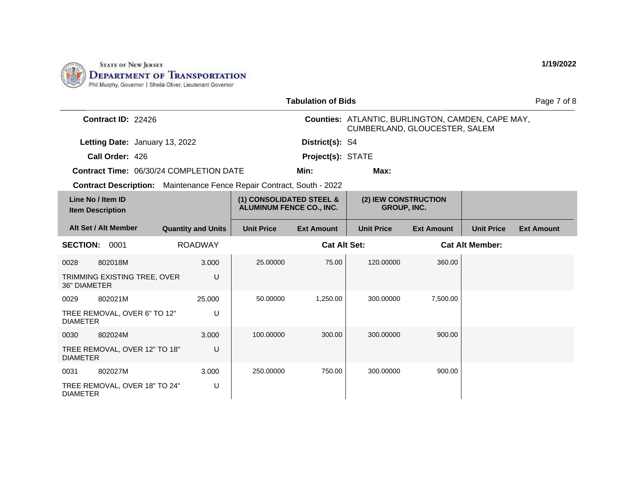

|                                                                              |                           |                                                             | <b>Tabulation of Bids</b> |                                                                                    |                   |                        | Page 7 of 8       |
|------------------------------------------------------------------------------|---------------------------|-------------------------------------------------------------|---------------------------|------------------------------------------------------------------------------------|-------------------|------------------------|-------------------|
| Contract ID: 22426                                                           |                           |                                                             |                           | Counties: ATLANTIC, BURLINGTON, CAMDEN, CAPE MAY,<br>CUMBERLAND, GLOUCESTER, SALEM |                   |                        |                   |
| Letting Date: January 13, 2022                                               |                           |                                                             | District(s): S4           |                                                                                    |                   |                        |                   |
| Call Order: 426                                                              |                           |                                                             | Project(s): STATE         |                                                                                    |                   |                        |                   |
| Contract Time: 06/30/24 COMPLETION DATE                                      |                           |                                                             | Min:                      | Max:                                                                               |                   |                        |                   |
| <b>Contract Description:</b> Maintenance Fence Repair Contract, South - 2022 |                           |                                                             |                           |                                                                                    |                   |                        |                   |
| Line No / Item ID<br><b>Item Description</b>                                 |                           | (1) CONSOLIDATED STEEL &<br><b>ALUMINUM FENCE CO., INC.</b> |                           | (2) IEW CONSTRUCTION<br><b>GROUP, INC.</b>                                         |                   |                        |                   |
| Alt Set / Alt Member                                                         | <b>Quantity and Units</b> | <b>Unit Price</b>                                           | <b>Ext Amount</b>         | <b>Unit Price</b>                                                                  | <b>Ext Amount</b> | <b>Unit Price</b>      | <b>Ext Amount</b> |
| <b>SECTION:</b><br>0001                                                      | <b>ROADWAY</b>            |                                                             | <b>Cat Alt Set:</b>       |                                                                                    |                   | <b>Cat Alt Member:</b> |                   |
| 802018M<br>0028                                                              | 3.000                     | 25.00000                                                    | 75.00                     | 120.00000                                                                          | 360.00            |                        |                   |
| TRIMMING EXISTING TREE, OVER<br><b>36" DIAMETER</b>                          | U                         |                                                             |                           |                                                                                    |                   |                        |                   |
| 802021M<br>0029                                                              | 25.000                    | 50.00000                                                    | 1,250.00                  | 300.00000                                                                          | 7,500.00          |                        |                   |
| TREE REMOVAL, OVER 6" TO 12"<br><b>DIAMETER</b>                              | U                         |                                                             |                           |                                                                                    |                   |                        |                   |
| 802024M<br>0030                                                              | 3.000                     | 100.00000                                                   | 300.00                    | 300.00000                                                                          | 900.00            |                        |                   |
| TREE REMOVAL, OVER 12" TO 18"<br><b>DIAMETER</b>                             | U                         |                                                             |                           |                                                                                    |                   |                        |                   |
| 802027M<br>0031                                                              | 3.000                     | 250.00000                                                   | 750.00                    | 300.00000                                                                          | 900.00            |                        |                   |
| TREE REMOVAL, OVER 18" TO 24"<br><b>DIAMETER</b>                             | U                         |                                                             |                           |                                                                                    |                   |                        |                   |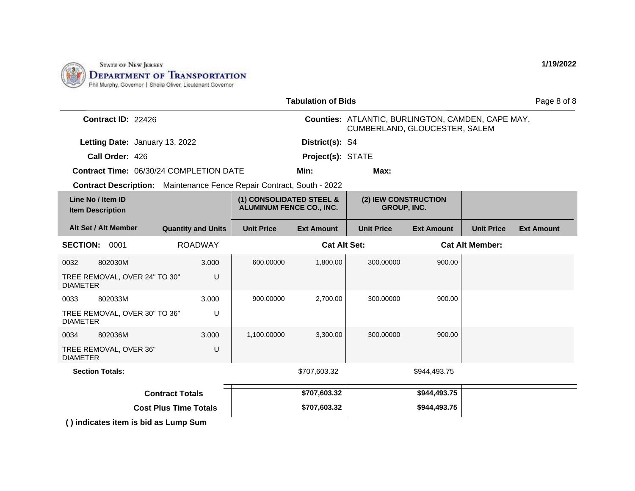

|                                                                              | <b>Tabulation of Bids</b><br>Page 8 of 8 |                                                             |                     |                                                                                    |                   |                        |                   |
|------------------------------------------------------------------------------|------------------------------------------|-------------------------------------------------------------|---------------------|------------------------------------------------------------------------------------|-------------------|------------------------|-------------------|
| Contract ID: 22426                                                           |                                          |                                                             |                     | Counties: ATLANTIC, BURLINGTON, CAMDEN, CAPE MAY,<br>CUMBERLAND, GLOUCESTER, SALEM |                   |                        |                   |
| Letting Date: January 13, 2022                                               |                                          |                                                             | District(s): S4     |                                                                                    |                   |                        |                   |
| Call Order: 426                                                              |                                          |                                                             | Project(s): STATE   |                                                                                    |                   |                        |                   |
| <b>Contract Time: 06/30/24 COMPLETION DATE</b>                               |                                          |                                                             | Min:                | Max:                                                                               |                   |                        |                   |
| <b>Contract Description:</b> Maintenance Fence Repair Contract, South - 2022 |                                          |                                                             |                     |                                                                                    |                   |                        |                   |
| Line No / Item ID<br><b>Item Description</b>                                 |                                          | (1) CONSOLIDATED STEEL &<br><b>ALUMINUM FENCE CO., INC.</b> |                     | (2) IEW CONSTRUCTION<br><b>GROUP, INC.</b>                                         |                   |                        |                   |
| Alt Set / Alt Member                                                         | <b>Quantity and Units</b>                | <b>Unit Price</b>                                           | <b>Ext Amount</b>   | <b>Unit Price</b>                                                                  | <b>Ext Amount</b> | <b>Unit Price</b>      | <b>Ext Amount</b> |
| <b>SECTION: 0001</b>                                                         | <b>ROADWAY</b>                           |                                                             | <b>Cat Alt Set:</b> |                                                                                    |                   | <b>Cat Alt Member:</b> |                   |
| 802030M<br>0032                                                              | 3.000                                    | 600.00000                                                   | 1,800.00            | 300.00000                                                                          | 900.00            |                        |                   |
| TREE REMOVAL, OVER 24" TO 30"<br><b>DIAMETER</b>                             | U                                        |                                                             |                     |                                                                                    |                   |                        |                   |
| 0033<br>802033M                                                              | 3.000                                    | 900.00000                                                   | 2,700.00            | 300.00000                                                                          | 900.00            |                        |                   |
| TREE REMOVAL, OVER 30" TO 36"<br><b>DIAMETER</b>                             | U                                        |                                                             |                     |                                                                                    |                   |                        |                   |
| 802036M<br>0034                                                              | 3.000                                    | 1.100.00000                                                 | 3,300.00            | 300.00000                                                                          | 900.00            |                        |                   |
| TREE REMOVAL, OVER 36"<br><b>DIAMETER</b>                                    | U                                        |                                                             |                     |                                                                                    |                   |                        |                   |
| <b>Section Totals:</b>                                                       |                                          |                                                             | \$707,603.32        |                                                                                    | \$944,493.75      |                        |                   |
|                                                                              | <b>Contract Totals</b>                   |                                                             | \$707,603.32        |                                                                                    | \$944,493.75      |                        |                   |
|                                                                              | <b>Cost Plus Time Totals</b>             |                                                             | \$707,603.32        |                                                                                    | \$944,493.75      |                        |                   |
| () indicates item is bid as Lump Sum                                         |                                          |                                                             |                     |                                                                                    |                   |                        |                   |